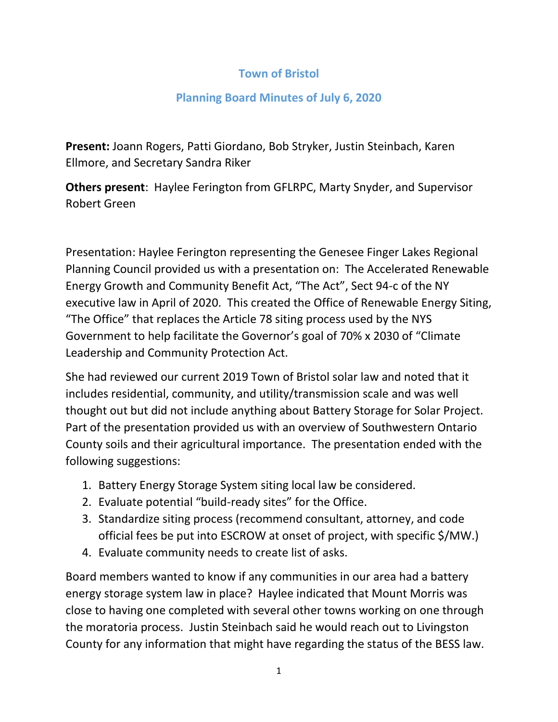## **Town of Bristol**

## **Planning Board Minutes of July 6, 2020**

**Present:** Joann Rogers, Patti Giordano, Bob Stryker, Justin Steinbach, Karen Ellmore, and Secretary Sandra Riker

**Others present**: Haylee Ferington from GFLRPC, Marty Snyder, and Supervisor Robert Green

Presentation: Haylee Ferington representing the Genesee Finger Lakes Regional Planning Council provided us with a presentation on: The Accelerated Renewable Energy Growth and Community Benefit Act, "The Act", Sect 94-c of the NY executive law in April of 2020. This created the Office of Renewable Energy Siting, "The Office" that replaces the Article 78 siting process used by the NYS Government to help facilitate the Governor's goal of 70% x 2030 of "Climate Leadership and Community Protection Act.

She had reviewed our current 2019 Town of Bristol solar law and noted that it includes residential, community, and utility/transmission scale and was well thought out but did not include anything about Battery Storage for Solar Project. Part of the presentation provided us with an overview of Southwestern Ontario County soils and their agricultural importance. The presentation ended with the following suggestions:

- 1. Battery Energy Storage System siting local law be considered.
- 2. Evaluate potential "build-ready sites" for the Office.
- 3. Standardize siting process (recommend consultant, attorney, and code official fees be put into ESCROW at onset of project, with specific \$/MW.)
- 4. Evaluate community needs to create list of asks.

Board members wanted to know if any communities in our area had a battery energy storage system law in place? Haylee indicated that Mount Morris was close to having one completed with several other towns working on one through the moratoria process. Justin Steinbach said he would reach out to Livingston County for any information that might have regarding the status of the BESS law.